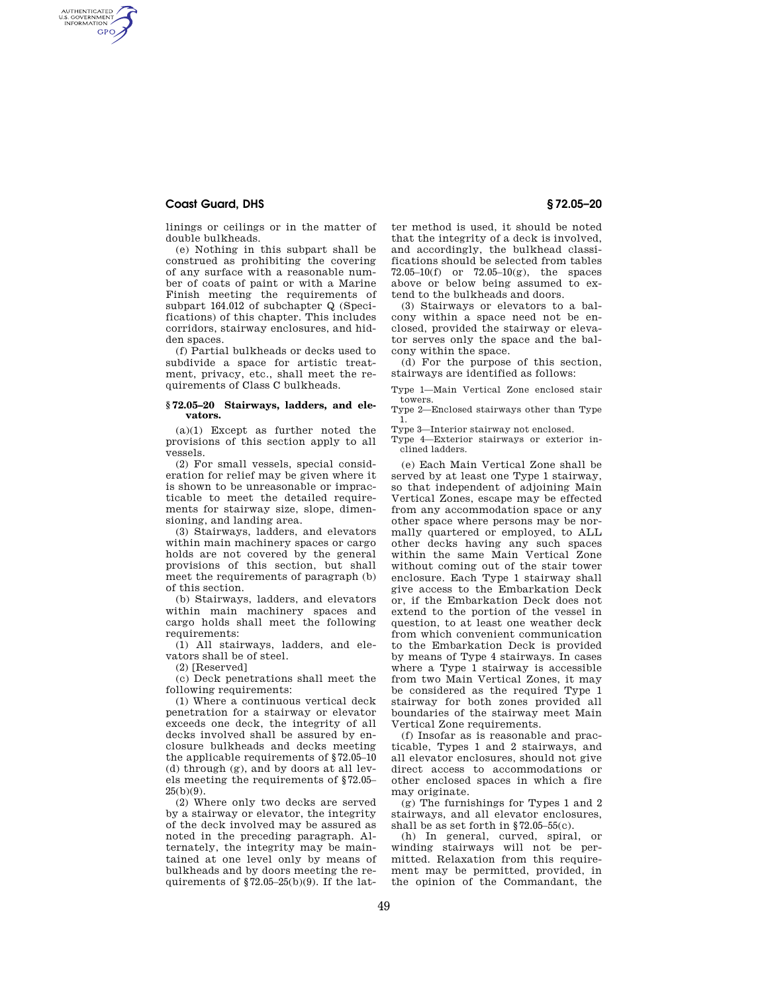## **Coast Guard, DHS § 72.05–20**

AUTHENTICATED<br>U.S. GOVERNMENT<br>INFORMATION **GPO** 

linings or ceilings or in the matter of double bulkheads.

(e) Nothing in this subpart shall be construed as prohibiting the covering of any surface with a reasonable number of coats of paint or with a Marine Finish meeting the requirements of subpart 164.012 of subchapter Q (Specifications) of this chapter. This includes corridors, stairway enclosures, and hidden spaces.

(f) Partial bulkheads or decks used to subdivide a space for artistic treatment, privacy, etc., shall meet the requirements of Class C bulkheads.

## **§ 72.05–20 Stairways, ladders, and elevators.**

(a)(1) Except as further noted the provisions of this section apply to all vessels.

(2) For small vessels, special consideration for relief may be given where it is shown to be unreasonable or impracticable to meet the detailed requirements for stairway size, slope, dimensioning, and landing area.

(3) Stairways, ladders, and elevators within main machinery spaces or cargo holds are not covered by the general provisions of this section, but shall meet the requirements of paragraph (b) of this section.

(b) Stairways, ladders, and elevators within main machinery spaces and cargo holds shall meet the following requirements:

(1) All stairways, ladders, and elevators shall be of steel.

(2) [Reserved]

(c) Deck penetrations shall meet the following requirements:

(1) Where a continuous vertical deck penetration for a stairway or elevator exceeds one deck, the integrity of all decks involved shall be assured by enclosure bulkheads and decks meeting the applicable requirements of §72.05–10 (d) through (g), and by doors at all levels meeting the requirements of §72.05–  $25(h)(9)$ .

(2) Where only two decks are served by a stairway or elevator, the integrity of the deck involved may be assured as noted in the preceding paragraph. Alternately, the integrity may be maintained at one level only by means of bulkheads and by doors meeting the requirements of  $\S$ 72.05–25(b)(9). If the latter method is used, it should be noted that the integrity of a deck is involved, and accordingly, the bulkhead classifications should be selected from tables 72.05–10(f) or 72.05–10(g), the spaces above or below being assumed to extend to the bulkheads and doors.

(3) Stairways or elevators to a balcony within a space need not be enclosed, provided the stairway or elevator serves only the space and the balcony within the space.

(d) For the purpose of this section, stairways are identified as follows:

Type 1—Main Vertical Zone enclosed stair towers.

Type 2—Enclosed stairways other than Type 1.

Type 3—Interior stairway not enclosed.

Type 4—Exterior stairways or exterior inclined ladders.

(e) Each Main Vertical Zone shall be served by at least one Type 1 stairway, so that independent of adjoining Main Vertical Zones, escape may be effected from any accommodation space or any other space where persons may be normally quartered or employed, to ALL other decks having any such spaces within the same Main Vertical Zone without coming out of the stair tower enclosure. Each Type 1 stairway shall give access to the Embarkation Deck or, if the Embarkation Deck does not extend to the portion of the vessel in question, to at least one weather deck from which convenient communication to the Embarkation Deck is provided by means of Type 4 stairways. In cases where a Type 1 stairway is accessible from two Main Vertical Zones, it may be considered as the required Type 1 stairway for both zones provided all boundaries of the stairway meet Main Vertical Zone requirements.

(f) Insofar as is reasonable and practicable, Types 1 and 2 stairways, and all elevator enclosures, should not give direct access to accommodations or other enclosed spaces in which a fire may originate.

(g) The furnishings for Types 1 and 2 stairways, and all elevator enclosures, shall be as set forth in §72.05–55(c).

(h) In general, curved, spiral, or winding stairways will not be permitted. Relaxation from this requirement may be permitted, provided, in the opinion of the Commandant, the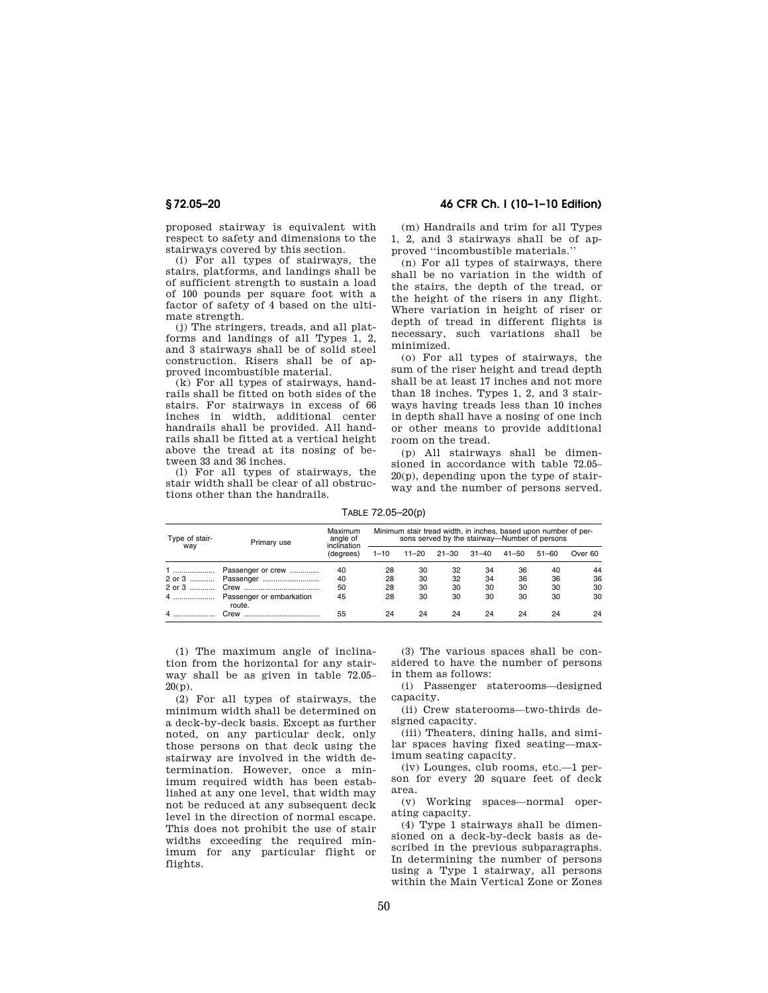proposed stairway is equivalent with respect to safety and dimensions to the stairways covered by this section.

(i) For all types of stairways, the stairs, platforms, and landings shall be of sufficient strength to sustain a load of 100 pounds per square foot with a factor of safety of 4 based on the ultimate strength.

(j) The stringers, treads, and all platforms and landings of all Types 1, 2, and 3 stairways shall be of solid steel construction. Risers shall be of approved incombustible material.

(k) For all types of stairways, handrails shall be fitted on both sides of the stairs. For stairways in excess of 66 inches in width, additional center handrails shall be provided. All handrails shall be fitted at a vertical height above the tread at its nosing of between 33 and 36 inches.

(l) For all types of stairways, the stair width shall be clear of all obstructions other than the handrails.

**§ 72.05–20 46 CFR Ch. I (10–1–10 Edition)** 

(m) Handrails and trim for all Types 1, 2, and 3 stairways shall be of approved ''incombustible materials.''

(n) For all types of stairways, there shall be no variation in the width of the stairs, the depth of the tread, or the height of the risers in any flight. Where variation in height of riser or depth of tread in different flights is necessary, such variations shall be minimized.

(o) For all types of stairways, the sum of the riser height and tread depth shall be at least 17 inches and not more than 18 inches. Types 1, 2, and 3 stairways having treads less than 10 inches in depth shall have a nosing of one inch or other means to provide additional room on the tread.

(p) All stairways shall be dimensioned in accordance with table 72.05– 20(p), depending upon the type of stairway and the number of persons served.

TABLE 72.05–20(p)

| Type of stair-<br>way | Primary use                           | Maximum<br>angle of<br>inclination<br>(degrees) | Minimum stair tread width, in inches, based upon number of per-<br>sons served by the stairway-Number of persons |           |           |       |       |           |         |
|-----------------------|---------------------------------------|-------------------------------------------------|------------------------------------------------------------------------------------------------------------------|-----------|-----------|-------|-------|-----------|---------|
|                       |                                       |                                                 | $1 - 10$                                                                                                         | $11 - 20$ | $21 - 30$ | 31-40 | 41–50 | $51 - 60$ | Over 60 |
|                       | Passenger or crew                     | 40                                              | 28                                                                                                               | 30        | 32        | 34    | 36    | 40        | 44      |
|                       |                                       | 40                                              | 28                                                                                                               | 30        | 32        | 34    | 36    | 36        | 36      |
|                       |                                       | 50                                              | 28                                                                                                               | 30        | 30        | 30    | 30    | 30        | 30      |
|                       | 4  Passenger or embarkation<br>route. | 45                                              | 28                                                                                                               | 30        | 30        | 30    | 30    | 30        | 30      |
|                       | Crew                                  | 55                                              | 24                                                                                                               | 24        | 24        | 24    | 24    | 24        | 24      |

(1) The maximum angle of inclination from the horizontal for any stairway shall be as given in table 72.05– 20(p).

(2) For all types of stairways, the minimum width shall be determined on a deck-by-deck basis. Except as further noted, on any particular deck, only those persons on that deck using the stairway are involved in the width determination. However, once a minimum required width has been established at any one level, that width may not be reduced at any subsequent deck level in the direction of normal escape. This does not prohibit the use of stair widths exceeding the required minimum for any particular flight or flights.

(3) The various spaces shall be considered to have the number of persons in them as follows:

(i) Passenger staterooms—designed capacity.

(ii) Crew staterooms—two-thirds designed capacity.

(iii) Theaters, dining halls, and similar spaces having fixed seating—maximum seating capacity.

(iv) Lounges, club rooms, etc.—1 person for every 20 square feet of deck area.

(v) Working spaces—normal operating capacity.

(4) Type 1 stairways shall be dimensioned on a deck-by-deck basis as described in the previous subparagraphs. In determining the number of persons using a Type 1 stairway, all persons within the Main Vertical Zone or Zones